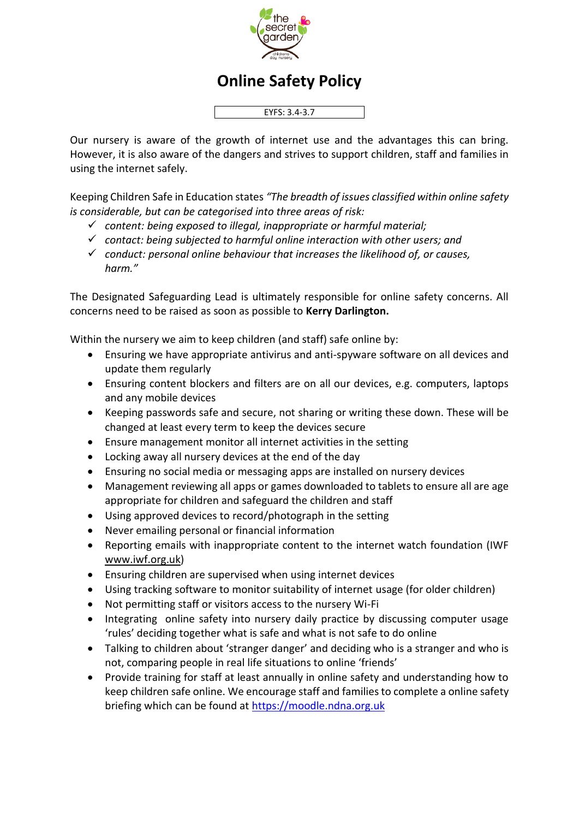

## **Online Safety Policy**

EYFS: 3.4-3.7

Our nursery is aware of the growth of internet use and the advantages this can bring. However, it is also aware of the dangers and strives to support children, staff and families in using the internet safely.

Keeping Children Safe in Education states *"The breadth of issues classified within online safety is considerable, but can be categorised into three areas of risk:*

- ✓ *content: being exposed to illegal, inappropriate or harmful material;*
- ✓ *contact: being subjected to harmful online interaction with other users; and*
- ✓ *conduct: personal online behaviour that increases the likelihood of, or causes, harm."*

The Designated Safeguarding Lead is ultimately responsible for online safety concerns. All concerns need to be raised as soon as possible to **Kerry Darlington.** 

Within the nursery we aim to keep children (and staff) safe online by:

- Ensuring we have appropriate antivirus and anti-spyware software on all devices and update them regularly
- Ensuring content blockers and filters are on all our devices, e.g. computers, laptops and any mobile devices
- Keeping passwords safe and secure, not sharing or writing these down. These will be changed at least every term to keep the devices secure
- Ensure management monitor all internet activities in the setting
- Locking away all nursery devices at the end of the day
- Ensuring no social media or messaging apps are installed on nursery devices
- Management reviewing all apps or games downloaded to tablets to ensure all are age appropriate for children and safeguard the children and staff
- Using approved devices to record/photograph in the setting
- Never emailing personal or financial information
- Reporting emails with inappropriate content to the internet watch foundation (IWF www.iwf.org.uk)
- Ensuring children are supervised when using internet devices
- Using tracking software to monitor suitability of internet usage (for older children)
- Not permitting staff or visitors access to the nursery Wi-Fi
- Integrating online safety into nursery daily practice by discussing computer usage 'rules' deciding together what is safe and what is not safe to do online
- Talking to children about 'stranger danger' and deciding who is a stranger and who is not, comparing people in real life situations to online 'friends'
- Provide training for staff at least annually in online safety and understanding how to keep children safe online. We encourage staff and families to complete a online safety briefing which can be found at [https://moodle.ndna.org.uk](https://moodle.ndna.org.uk/course/index.php?categoryid=27)